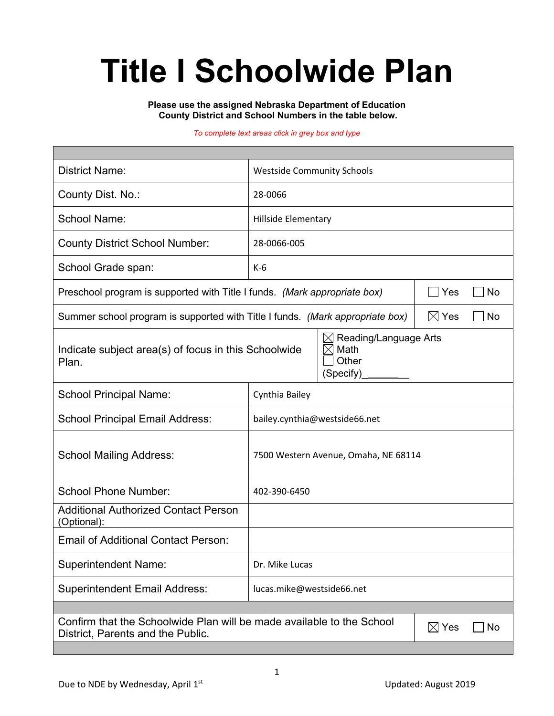# **Title I Schoolwide Plan**

#### **Please use the assigned Nebraska Department of Education County District and School Numbers in the table below.**

#### *To complete text areas click in grey box and type*

| <b>District Name:</b>                                                                                                                     | <b>Westside Community Schools</b>    |  |  |  |  |  |
|-------------------------------------------------------------------------------------------------------------------------------------------|--------------------------------------|--|--|--|--|--|
| County Dist. No.:                                                                                                                         | 28-0066                              |  |  |  |  |  |
| <b>School Name:</b>                                                                                                                       | <b>Hillside Elementary</b>           |  |  |  |  |  |
| <b>County District School Number:</b>                                                                                                     | 28-0066-005                          |  |  |  |  |  |
| School Grade span:                                                                                                                        | $K-6$                                |  |  |  |  |  |
| Preschool program is supported with Title I funds. (Mark appropriate box)                                                                 | Yes<br><b>No</b>                     |  |  |  |  |  |
| Summer school program is supported with Title I funds. (Mark appropriate box)                                                             | $\boxtimes$ Yes<br>No                |  |  |  |  |  |
| Reading/Language Arts<br>$\boxtimes$<br>Math<br>Indicate subject area(s) of focus in this Schoolwide<br>IX<br>Other<br>Plan.<br>(Specify) |                                      |  |  |  |  |  |
| <b>School Principal Name:</b>                                                                                                             | Cynthia Bailey                       |  |  |  |  |  |
| <b>School Principal Email Address:</b>                                                                                                    | bailey.cynthia@westside66.net        |  |  |  |  |  |
| <b>School Mailing Address:</b>                                                                                                            | 7500 Western Avenue, Omaha, NE 68114 |  |  |  |  |  |
| <b>School Phone Number:</b>                                                                                                               | 402-390-6450                         |  |  |  |  |  |
| <b>Additional Authorized Contact Person</b><br>(Optional):                                                                                |                                      |  |  |  |  |  |
| <b>Email of Additional Contact Person:</b>                                                                                                |                                      |  |  |  |  |  |
| <b>Superintendent Name:</b>                                                                                                               | Dr. Mike Lucas                       |  |  |  |  |  |
| <b>Superintendent Email Address:</b>                                                                                                      | lucas.mike@westside66.net            |  |  |  |  |  |
|                                                                                                                                           |                                      |  |  |  |  |  |
| Confirm that the Schoolwide Plan will be made available to the School<br>$\boxtimes$ Yes<br>No<br>District, Parents and the Public.       |                                      |  |  |  |  |  |
|                                                                                                                                           |                                      |  |  |  |  |  |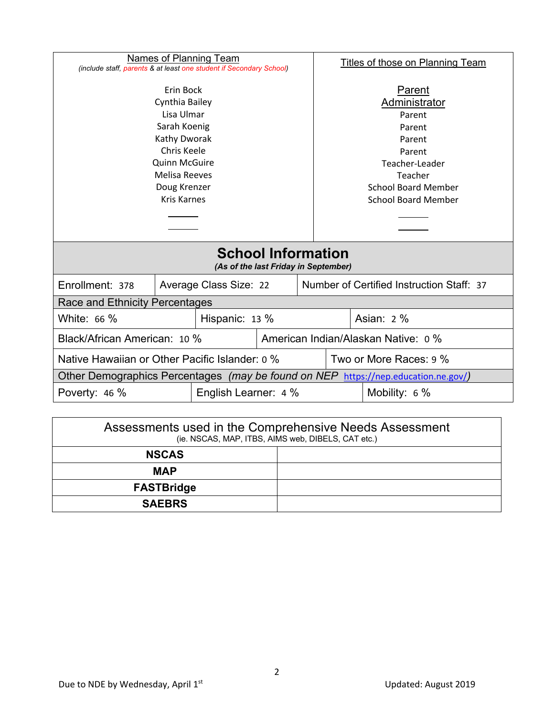| Names of Planning Team                                                                                                                                                                                                                                       |  |                        | Titles of those on Planning Team |                                                                                                                                                          |                                           |  |  |
|--------------------------------------------------------------------------------------------------------------------------------------------------------------------------------------------------------------------------------------------------------------|--|------------------------|----------------------------------|----------------------------------------------------------------------------------------------------------------------------------------------------------|-------------------------------------------|--|--|
| (include staff, parents & at least one student if Secondary School)<br>Erin Bock<br>Cynthia Bailey<br>Lisa Ulmar<br>Sarah Koenig<br>Kathy Dworak<br><b>Chris Keele</b><br><b>Quinn McGuire</b><br><b>Melisa Reeves</b><br>Doug Krenzer<br><b>Kris Karnes</b> |  |                        |                                  | Parent<br>Administrator<br>Parent<br>Parent<br>Parent<br>Parent<br>Teacher-Leader<br>Teacher<br><b>School Board Member</b><br><b>School Board Member</b> |                                           |  |  |
|                                                                                                                                                                                                                                                              |  |                        |                                  |                                                                                                                                                          |                                           |  |  |
| <b>School Information</b><br>(As of the last Friday in September)                                                                                                                                                                                            |  |                        |                                  |                                                                                                                                                          |                                           |  |  |
| Enrollment: 378                                                                                                                                                                                                                                              |  | Average Class Size: 22 |                                  |                                                                                                                                                          | Number of Certified Instruction Staff: 37 |  |  |
| Race and Ethnicity Percentages                                                                                                                                                                                                                               |  |                        |                                  |                                                                                                                                                          |                                           |  |  |
| White: 66 %<br>Hispanic: 13 %                                                                                                                                                                                                                                |  |                        |                                  |                                                                                                                                                          | Asian: 2 %                                |  |  |
| Black/African American: 10 %                                                                                                                                                                                                                                 |  |                        |                                  | American Indian/Alaskan Native: 0 %                                                                                                                      |                                           |  |  |
| Native Hawaiian or Other Pacific Islander: 0 %                                                                                                                                                                                                               |  |                        | Two or More Races: 9 %           |                                                                                                                                                          |                                           |  |  |
| Other Demographics Percentages (may be found on NEP https://nep.education.ne.gov/)                                                                                                                                                                           |  |                        |                                  |                                                                                                                                                          |                                           |  |  |
| English Learner: 4 %<br>Poverty: 46 %                                                                                                                                                                                                                        |  |                        | Mobility: 6 %                    |                                                                                                                                                          |                                           |  |  |
|                                                                                                                                                                                                                                                              |  |                        |                                  |                                                                                                                                                          |                                           |  |  |

| Assessments used in the Comprehensive Needs Assessment<br>(ie. NSCAS, MAP, ITBS, AIMS web, DIBELS, CAT etc.) |  |  |  |  |
|--------------------------------------------------------------------------------------------------------------|--|--|--|--|
| <b>NSCAS</b>                                                                                                 |  |  |  |  |
| <b>MAP</b>                                                                                                   |  |  |  |  |
| <b>FASTBridge</b>                                                                                            |  |  |  |  |
| <b>SAEBRS</b>                                                                                                |  |  |  |  |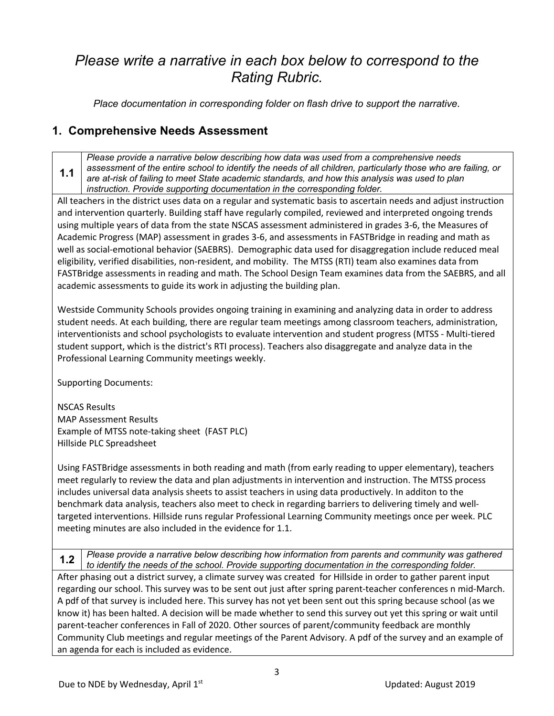## *Please write a narrative in each box below to correspond to the Rating Rubric.*

*Place documentation in corresponding folder on flash drive to support the narrative.*

### **1. Comprehensive Needs Assessment**

**1.1** *Please provide a narrative below describing how data was used from a comprehensive needs assessment of the entire school to identify the needs of all children, particularly those who are failing, or are at-risk of failing to meet State academic standards, and how this analysis was used to plan instruction. Provide supporting documentation in the corresponding folder.*

All teachers in the district uses data on a regular and systematic basis to ascertain needs and adjust instruction and intervention quarterly. Building staff have regularly compiled, reviewed and interpreted ongoing trends using multiple years of data from the state NSCAS assessment administered in grades 3-6, the Measures of Academic Progress (MAP) assessment in grades 3-6, and assessments in FASTBridge in reading and math as well as social-emotional behavior (SAEBRS). Demographic data used for disaggregation include reduced meal eligibility, verified disabilities, non-resident, and mobility. The MTSS (RTI) team also examines data from FASTBridge assessments in reading and math. The School Design Team examines data from the SAEBRS, and all academic assessments to guide its work in adjusting the building plan.

Westside Community Schools provides ongoing training in examining and analyzing data in order to address student needs. At each building, there are regular team meetings among classroom teachers, administration, interventionists and school psychologists to evaluate intervention and student progress (MTSS - Multi-tiered student support, which is the district's RTI process). Teachers also disaggregate and analyze data in the Professional Learning Community meetings weekly.

Supporting Documents:

NSCAS Results MAP Assessment Results Example of MTSS note-taking sheet (FAST PLC) Hillside PLC Spreadsheet

Using FASTBridge assessments in both reading and math (from early reading to upper elementary), teachers meet regularly to review the data and plan adjustments in intervention and instruction. The MTSS process includes universal data analysis sheets to assist teachers in using data productively. In additon to the benchmark data analysis, teachers also meet to check in regarding barriers to delivering timely and welltargeted interventions. Hillside runs regular Professional Learning Community meetings once per week. PLC meeting minutes are also included in the evidence for 1.1.

**1.2** *Please provide a narrative below describing how information from parents and community was gathered to identify the needs of the school. Provide supporting documentation in the corresponding folder.* After phasing out a district survey, a climate survey was created for Hillside in order to gather parent input regarding our school. This survey was to be sent out just after spring parent-teacher conferences n mid-March. A pdf of that survey is included here. This survey has not yet been sent out this spring because school (as we know it) has been halted. A decision will be made whether to send this survey out yet this spring or wait until parent-teacher conferences in Fall of 2020. Other sources of parent/community feedback are monthly Community Club meetings and regular meetings of the Parent Advisory. A pdf of the survey and an example of an agenda for each is included as evidence.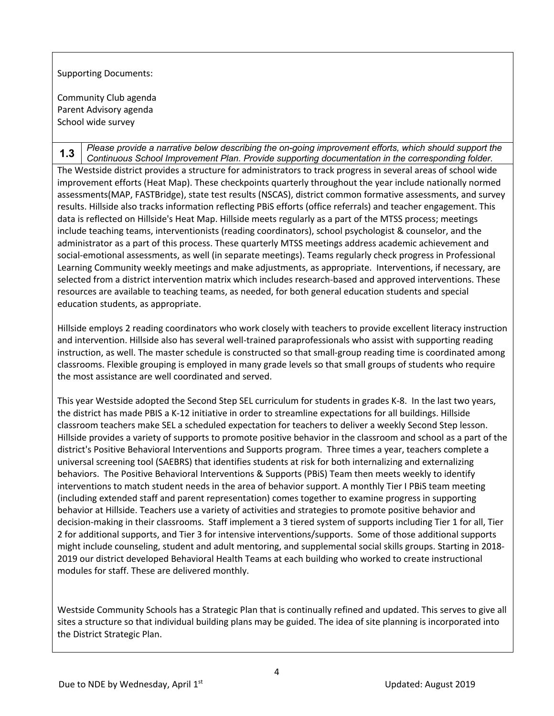Supporting Documents:

Community Club agenda Parent Advisory agenda School wide survey

**1.3** *Please provide a narrative below describing the on-going improvement efforts, which should support the Continuous School Improvement Plan. Provide supporting documentation in the corresponding folder.* The Westside district provides a structure for administrators to track progress in several areas of school wide improvement efforts (Heat Map). These checkpoints quarterly throughout the year include nationally normed assessments(MAP, FASTBridge), state test results (NSCAS), district common formative assessments, and survey results. Hillside also tracks information reflecting PBiS efforts (office referrals) and teacher engagement. This data is reflected on Hillside's Heat Map. Hillside meets regularly as a part of the MTSS process; meetings include teaching teams, interventionists (reading coordinators), school psychologist & counselor, and the administrator as a part of this process. These quarterly MTSS meetings address academic achievement and social-emotional assessments, as well (in separate meetings). Teams regularly check progress in Professional Learning Community weekly meetings and make adjustments, as appropriate. Interventions, if necessary, are selected from a district intervention matrix which includes research-based and approved interventions. These resources are available to teaching teams, as needed, for both general education students and special education students, as appropriate.

Hillside employs 2 reading coordinators who work closely with teachers to provide excellent literacy instruction and intervention. Hillside also has several well-trained paraprofessionals who assist with supporting reading instruction, as well. The master schedule is constructed so that small-group reading time is coordinated among classrooms. Flexible grouping is employed in many grade levels so that small groups of students who require the most assistance are well coordinated and served.

This year Westside adopted the Second Step SEL curriculum for students in grades K-8. In the last two years, the district has made PBIS a K-12 initiative in order to streamline expectations for all buildings. Hillside classroom teachers make SEL a scheduled expectation for teachers to deliver a weekly Second Step lesson. Hillside provides a variety of supports to promote positive behavior in the classroom and school as a part of the district's Positive Behavioral Interventions and Supports program. Three times a year, teachers complete a universal screening tool (SAEBRS) that identifies students at risk for both internalizing and externalizing behaviors. The Positive Behavioral Interventions & Supports (PBiS) Team then meets weekly to identify interventions to match student needs in the area of behavior support. A monthly Tier I PBiS team meeting (including extended staff and parent representation) comes together to examine progress in supporting behavior at Hillside. Teachers use a variety of activities and strategies to promote positive behavior and decision-making in their classrooms. Staff implement a 3 tiered system of supports including Tier 1 for all, Tier 2 for additional supports, and Tier 3 for intensive interventions/supports. Some of those additional supports might include counseling, student and adult mentoring, and supplemental social skills groups. Starting in 2018- 2019 our district developed Behavioral Health Teams at each building who worked to create instructional modules for staff. These are delivered monthly.

Westside Community Schools has a Strategic Plan that is continually refined and updated. This serves to give all sites a structure so that individual building plans may be guided. The idea of site planning is incorporated into the District Strategic Plan.

4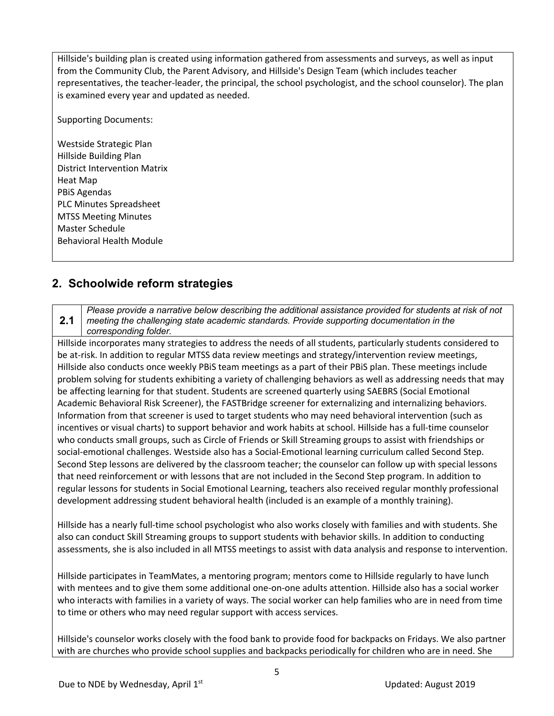Hillside's building plan is created using information gathered from assessments and surveys, as well as input from the Community Club, the Parent Advisory, and Hillside's Design Team (which includes teacher representatives, the teacher-leader, the principal, the school psychologist, and the school counselor). The plan is examined every year and updated as needed.

Supporting Documents:

Westside Strategic Plan Hillside Building Plan District Intervention Matrix Heat Map PBiS Agendas PLC Minutes Spreadsheet MTSS Meeting Minutes Master Schedule Behavioral Health Module

#### **2. Schoolwide reform strategies**

**2.1** *Please provide a narrative below describing the additional assistance provided for students at risk of not meeting the challenging state academic standards. Provide supporting documentation in the corresponding folder.*

Hillside incorporates many strategies to address the needs of all students, particularly students considered to be at-risk. In addition to regular MTSS data review meetings and strategy/intervention review meetings, Hillside also conducts once weekly PBiS team meetings as a part of their PBiS plan. These meetings include problem solving for students exhibiting a variety of challenging behaviors as well as addressing needs that may be affecting learning for that student. Students are screened quarterly using SAEBRS (Social Emotional Academic Behavioral Risk Screener), the FASTBridge screener for externalizing and internalizing behaviors. Information from that screener is used to target students who may need behavioral intervention (such as incentives or visual charts) to support behavior and work habits at school. Hillside has a full-time counselor who conducts small groups, such as Circle of Friends or Skill Streaming groups to assist with friendships or social-emotional challenges. Westside also has a Social-Emotional learning curriculum called Second Step. Second Step lessons are delivered by the classroom teacher; the counselor can follow up with special lessons that need reinforcement or with lessons that are not included in the Second Step program. In addition to regular lessons for students in Social Emotional Learning, teachers also received regular monthly professional development addressing student behavioral health (included is an example of a monthly training).

Hillside has a nearly full-time school psychologist who also works closely with families and with students. She also can conduct Skill Streaming groups to support students with behavior skills. In addition to conducting assessments, she is also included in all MTSS meetings to assist with data analysis and response to intervention.

Hillside participates in TeamMates, a mentoring program; mentors come to Hillside regularly to have lunch with mentees and to give them some additional one-on-one adults attention. Hillside also has a social worker who interacts with families in a variety of ways. The social worker can help families who are in need from time to time or others who may need regular support with access services.

Hillside's counselor works closely with the food bank to provide food for backpacks on Fridays. We also partner with are churches who provide school supplies and backpacks periodically for children who are in need. She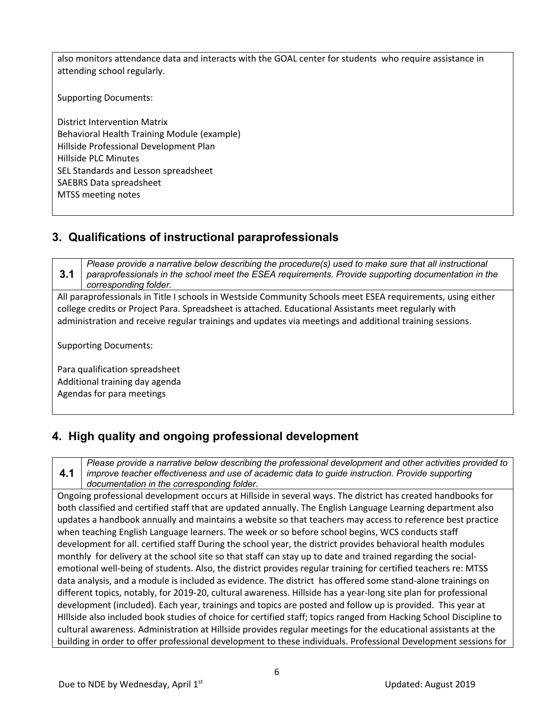also monitors attendance data and interacts with the GOAL center for students who require assistance in attending school regularly.

Supporting Documents:

District Intervention Matrix Behavioral Health Training Module (example) Hillside Professional Development Plan Hillside PLC Minutes SEL Standards and Lesson spreadsheet SAEBRS Data spreadsheet MTSS meeting notes

#### **3. Qualifications of instructional paraprofessionals**

**3.1** *Please provide a narrative below describing the procedure(s) used to make sure that all instructional paraprofessionals in the school meet the ESEA requirements. Provide supporting documentation in the corresponding folder.*

All paraprofessionals in Title I schools in Westside Community Schools meet ESEA requirements, using either college credits or Project Para. Spreadsheet is attached. Educational Assistants meet regularly with administration and receive regular trainings and updates via meetings and additional training sessions.

Supporting Documents:

Para qualification spreadsheet Additional training day agenda Agendas for para meetings

## **4. High quality and ongoing professional development**

**4.1** *Please provide a narrative below describing the professional development and other activities provided to improve teacher effectiveness and use of academic data to guide instruction. Provide supporting documentation in the corresponding folder.*

Ongoing professional development occurs at Hillside in several ways. The district has created handbooks for both classified and certified staff that are updated annually. The English Language Learning department also updates a handbook annually and maintains a website so that teachers may access to reference best practice when teaching English Language learners. The week or so before school begins, WCS conducts staff development for all. certified staff During the school year, the district provides behavioral health modules monthly for delivery at the school site so that staff can stay up to date and trained regarding the socialemotional well-being of students. Also, the district provides regular training for certified teachers re: MTSS data analysis, and a module is included as evidence. The district has offered some stand-alone trainings on different topics, notably, for 2019-20, cultural awareness. Hillside has a year-long site plan for professional development (included). Each year, trainings and topics are posted and follow up is provided. This year at HIllside also included book studies of choice for certified staff; topics ranged from Hacking School Discipline to cultural awareness. Administration at Hillside provides regular meetings for the educational assistants at the building in order to offer professional development to these individuals. Professional Development sessions for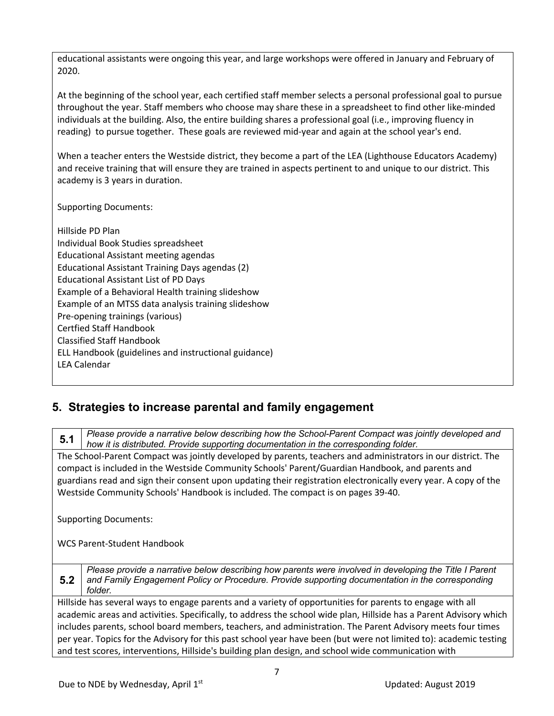educational assistants were ongoing this year, and large workshops were offered in January and February of 2020.

At the beginning of the school year, each certified staff member selects a personal professional goal to pursue throughout the year. Staff members who choose may share these in a spreadsheet to find other like-minded individuals at the building. Also, the entire building shares a professional goal (i.e., improving fluency in reading) to pursue together. These goals are reviewed mid-year and again at the school year's end.

When a teacher enters the Westside district, they become a part of the LEA (Lighthouse Educators Academy) and receive training that will ensure they are trained in aspects pertinent to and unique to our district. This academy is 3 years in duration.

Supporting Documents:

Hillside PD Plan Individual Book Studies spreadsheet Educational Assistant meeting agendas Educational Assistant Training Days agendas (2) Educational Assistant List of PD Days Example of a Behavioral Health training slideshow Example of an MTSS data analysis training slideshow Pre-opening trainings (various) Certfied Staff Handbook Classified Staff Handbook ELL Handbook (guidelines and instructional guidance) LEA Calendar

#### **5. Strategies to increase parental and family engagement**

**5.1** *Please provide a narrative below describing how the School-Parent Compact was jointly developed and how it is distributed. Provide supporting documentation in the corresponding folder.* The School-Parent Compact was jointly developed by parents, teachers and administrators in our district. The

compact is included in the Westside Community Schools' Parent/Guardian Handbook, and parents and guardians read and sign their consent upon updating their registration electronically every year. A copy of the Westside Community Schools' Handbook is included. The compact is on pages 39-40.

Supporting Documents:

WCS Parent-Student Handbook

**5.2** *Please provide a narrative below describing how parents were involved in developing the Title I Parent and Family Engagement Policy or Procedure. Provide supporting documentation in the corresponding folder.*

Hillside has several ways to engage parents and a variety of opportunities for parents to engage with all academic areas and activities. Specifically, to address the school wide plan, Hillside has a Parent Advisory which includes parents, school board members, teachers, and administration. The Parent Advisory meets four times per year. Topics for the Advisory for this past school year have been (but were not limited to): academic testing and test scores, interventions, Hillside's building plan design, and school wide communication with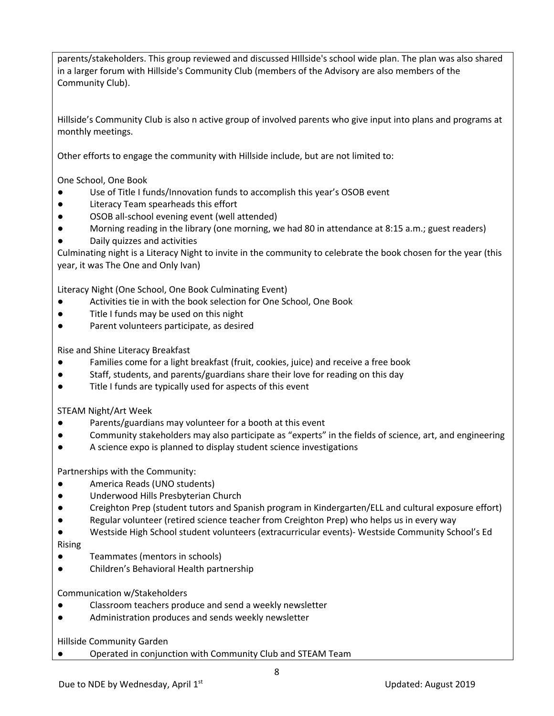parents/stakeholders. This group reviewed and discussed HIllside's school wide plan. The plan was also shared in a larger forum with Hillside's Community Club (members of the Advisory are also members of the Community Club).

Hillside's Community Club is also n active group of involved parents who give input into plans and programs at monthly meetings.

Other efforts to engage the community with Hillside include, but are not limited to:

One School, One Book

- Use of Title I funds/Innovation funds to accomplish this year's OSOB event
- Literacy Team spearheads this effort
- OSOB all-school evening event (well attended)
- Morning reading in the library (one morning, we had 80 in attendance at 8:15 a.m.; guest readers)
- Daily quizzes and activities

Culminating night is a Literacy Night to invite in the community to celebrate the book chosen for the year (this year, it was The One and Only Ivan)

Literacy Night (One School, One Book Culminating Event)

- Activities tie in with the book selection for One School, One Book
- Title I funds may be used on this night
- Parent volunteers participate, as desired

Rise and Shine Literacy Breakfast

- Families come for a light breakfast (fruit, cookies, juice) and receive a free book
- Staff, students, and parents/guardians share their love for reading on this day
- Title I funds are typically used for aspects of this event

STEAM Night/Art Week

- Parents/guardians may volunteer for a booth at this event
- Community stakeholders may also participate as "experts" in the fields of science, art, and engineering
- A science expo is planned to display student science investigations

Partnerships with the Community:

- America Reads (UNO students)
- Underwood Hills Presbyterian Church
- Creighton Prep (student tutors and Spanish program in Kindergarten/ELL and cultural exposure effort)
- Regular volunteer (retired science teacher from Creighton Prep) who helps us in every way
- Westside High School student volunteers (extracurricular events)- Westside Community School's Ed

Rising

- Teammates (mentors in schools)
- Children's Behavioral Health partnership

Communication w/Stakeholders

- Classroom teachers produce and send a weekly newsletter
- Administration produces and sends weekly newsletter

Hillside Community Garden

Operated in conjunction with Community Club and STEAM Team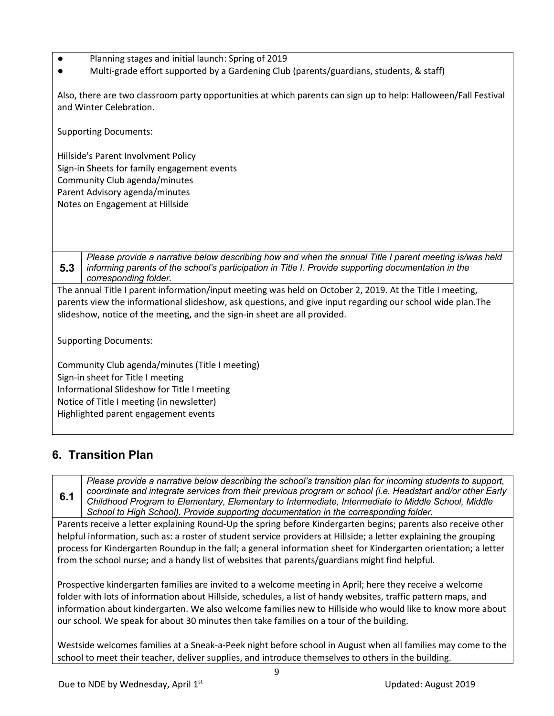- Planning stages and initial launch: Spring of 2019
- Multi-grade effort supported by a Gardening Club (parents/guardians, students, & staff)

Also, there are two classroom party opportunities at which parents can sign up to help: Halloween/Fall Festival and Winter Celebration.

Supporting Documents:

Hillside's Parent Involvment Policy Sign-in Sheets for family engagement events Community Club agenda/minutes Parent Advisory agenda/minutes Notes on Engagement at Hillside

**5.3** *Please provide a narrative below describing how and when the annual Title I parent meeting is/was held informing parents of the school's participation in Title I. Provide supporting documentation in the corresponding folder.*

The annual Title I parent information/input meeting was held on October 2, 2019. At the Title I meeting, parents view the informational slideshow, ask questions, and give input regarding our school wide plan.The slideshow, notice of the meeting, and the sign-in sheet are all provided.

Supporting Documents:

Community Club agenda/minutes (Title I meeting) Sign-in sheet for Title I meeting Informational Slideshow for Title I meeting Notice of Title I meeting (in newsletter) Highlighted parent engagement events

#### **6. Transition Plan**

**6.1** *Please provide a narrative below describing the school's transition plan for incoming students to support, coordinate and integrate services from their previous program or school (i.e. Headstart and/or other Early Childhood Program to Elementary, Elementary to Intermediate, Intermediate to Middle School, Middle School to High School). Provide supporting documentation in the corresponding folder.*

Parents receive a letter explaining Round-Up the spring before Kindergarten begins; parents also receive other helpful information, such as: a roster of student service providers at Hillside; a letter explaining the grouping process for Kindergarten Roundup in the fall; a general information sheet for Kindergarten orientation; a letter from the school nurse; and a handy list of websites that parents/guardians might find helpful.

Prospective kindergarten families are invited to a welcome meeting in April; here they receive a welcome folder with lots of information about Hillside, schedules, a list of handy websites, traffic pattern maps, and information about kindergarten. We also welcome families new to Hillside who would like to know more about our school. We speak for about 30 minutes then take families on a tour of the building.

Westside welcomes families at a Sneak-a-Peek night before school in August when all families may come to the school to meet their teacher, deliver supplies, and introduce themselves to others in the building.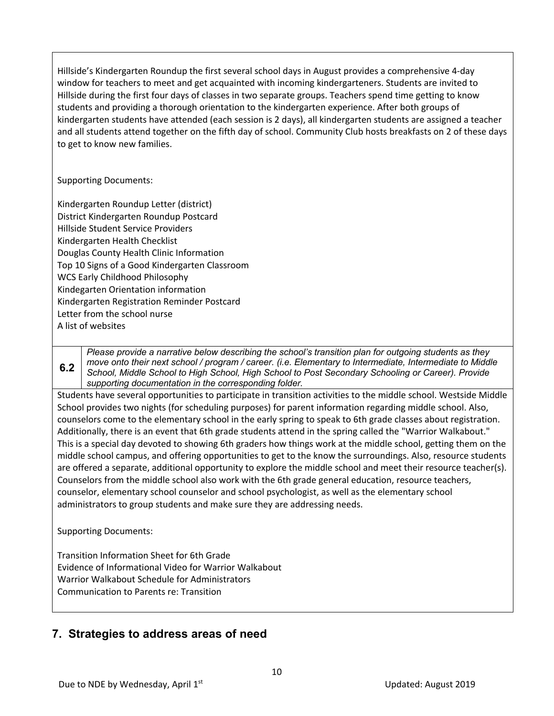Hillside's Kindergarten Roundup the first several school days in August provides a comprehensive 4-day window for teachers to meet and get acquainted with incoming kindergarteners. Students are invited to Hillside during the first four days of classes in two separate groups. Teachers spend time getting to know students and providing a thorough orientation to the kindergarten experience. After both groups of kindergarten students have attended (each session is 2 days), all kindergarten students are assigned a teacher and all students attend together on the fifth day of school. Community Club hosts breakfasts on 2 of these days to get to know new families.

Supporting Documents:

Kindergarten Roundup Letter (district) District Kindergarten Roundup Postcard Hillside Student Service Providers Kindergarten Health Checklist Douglas County Health Clinic Information Top 10 Signs of a Good Kindergarten Classroom WCS Early Childhood Philosophy Kindegarten Orientation information Kindergarten Registration Reminder Postcard Letter from the school nurse A list of websites

**6.2** *Please provide a narrative below describing the school's transition plan for outgoing students as they move onto their next school / program / career. (i.e. Elementary to Intermediate, Intermediate to Middle School, Middle School to High School, High School to Post Secondary Schooling or Career). Provide supporting documentation in the corresponding folder.*

Students have several opportunities to participate in transition activities to the middle school. Westside Middle School provides two nights (for scheduling purposes) for parent information regarding middle school. Also, counselors come to the elementary school in the early spring to speak to 6th grade classes about registration. Additionally, there is an event that 6th grade students attend in the spring called the "Warrior Walkabout." This is a special day devoted to showing 6th graders how things work at the middle school, getting them on the middle school campus, and offering opportunities to get to the know the surroundings. Also, resource students are offered a separate, additional opportunity to explore the middle school and meet their resource teacher(s). Counselors from the middle school also work with the 6th grade general education, resource teachers, counselor, elementary school counselor and school psychologist, as well as the elementary school administrators to group students and make sure they are addressing needs.

Supporting Documents:

Transition Information Sheet for 6th Grade Evidence of Informational Video for Warrior Walkabout Warrior Walkabout Schedule for Administrators Communication to Parents re: Transition

#### **7. Strategies to address areas of need**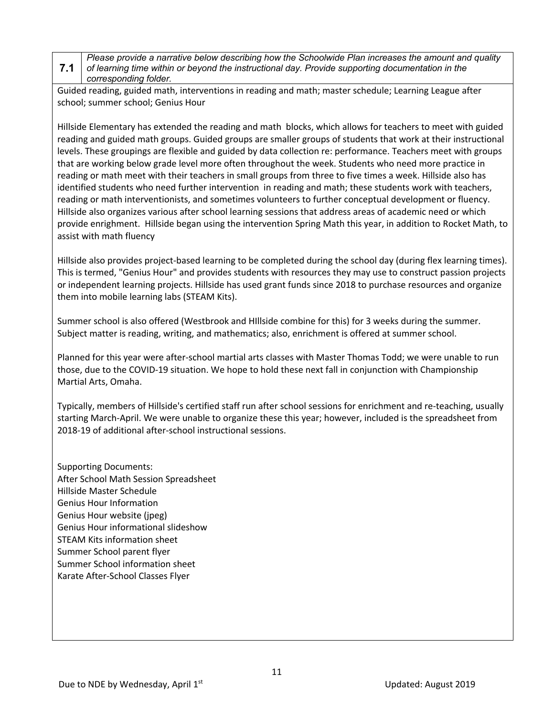#### **7.1** *Please provide a narrative below describing how the Schoolwide Plan increases the amount and quality of learning time within or beyond the instructional day. Provide supporting documentation in the corresponding folder.*

Guided reading, guided math, interventions in reading and math; master schedule; Learning League after school; summer school; Genius Hour

Hillside Elementary has extended the reading and math blocks, which allows for teachers to meet with guided reading and guided math groups. Guided groups are smaller groups of students that work at their instructional levels. These groupings are flexible and guided by data collection re: performance. Teachers meet with groups that are working below grade level more often throughout the week. Students who need more practice in reading or math meet with their teachers in small groups from three to five times a week. Hillside also has identified students who need further intervention in reading and math; these students work with teachers, reading or math interventionists, and sometimes volunteers to further conceptual development or fluency. Hillside also organizes various after school learning sessions that address areas of academic need or which provide enrighment. Hillside began using the intervention Spring Math this year, in addition to Rocket Math, to assist with math fluency

Hillside also provides project-based learning to be completed during the school day (during flex learning times). This is termed, "Genius Hour" and provides students with resources they may use to construct passion projects or independent learning projects. Hillside has used grant funds since 2018 to purchase resources and organize them into mobile learning labs (STEAM Kits).

Summer school is also offered (Westbrook and HIllside combine for this) for 3 weeks during the summer. Subject matter is reading, writing, and mathematics; also, enrichment is offered at summer school.

Planned for this year were after-school martial arts classes with Master Thomas Todd; we were unable to run those, due to the COVID-19 situation. We hope to hold these next fall in conjunction with Championship Martial Arts, Omaha.

Typically, members of Hillside's certified staff run after school sessions for enrichment and re-teaching, usually starting March-April. We were unable to organize these this year; however, included is the spreadsheet from 2018-19 of additional after-school instructional sessions.

Supporting Documents: After School Math Session Spreadsheet Hillside Master Schedule Genius Hour Information Genius Hour website (jpeg) Genius Hour informational slideshow STEAM Kits information sheet Summer School parent flyer Summer School information sheet Karate After-School Classes Flyer